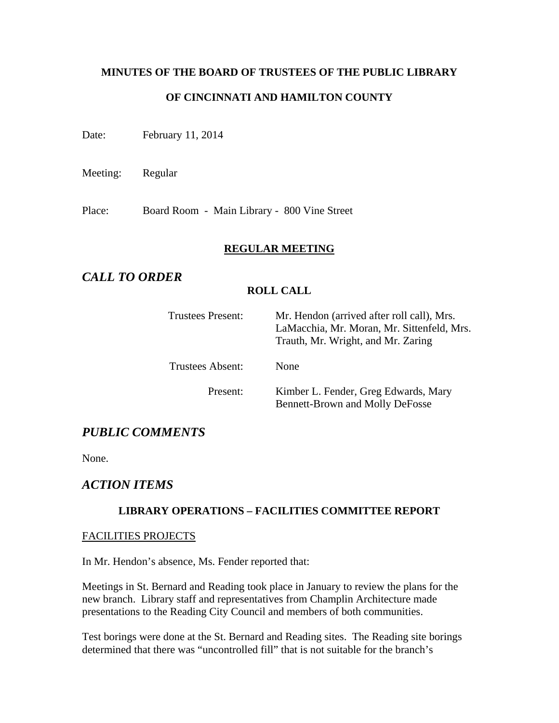# **MINUTES OF THE BOARD OF TRUSTEES OF THE PUBLIC LIBRARY OF CINCINNATI AND HAMILTON COUNTY**

Date: February 11, 2014

Meeting: Regular

Place: Board Room - Main Library - 800 Vine Street

#### **REGULAR MEETING**

# *CALL TO ORDER*

#### **ROLL CALL**

| <b>Trustees Present:</b> | Mr. Hendon (arrived after roll call), Mrs.<br>LaMacchia, Mr. Moran, Mr. Sittenfeld, Mrs.<br>Trauth, Mr. Wright, and Mr. Zaring |  |
|--------------------------|--------------------------------------------------------------------------------------------------------------------------------|--|
| <b>Trustees Absent:</b>  | <b>None</b>                                                                                                                    |  |
| Present:                 | Kimber L. Fender, Greg Edwards, Mary<br><b>Bennett-Brown and Molly DeFosse</b>                                                 |  |

# *PUBLIC COMMENTS*

None.

# *ACTION ITEMS*

#### **LIBRARY OPERATIONS – FACILITIES COMMITTEE REPORT**

#### FACILITIES PROJECTS

In Mr. Hendon's absence, Ms. Fender reported that:

Meetings in St. Bernard and Reading took place in January to review the plans for the new branch. Library staff and representatives from Champlin Architecture made presentations to the Reading City Council and members of both communities.

Test borings were done at the St. Bernard and Reading sites. The Reading site borings determined that there was "uncontrolled fill" that is not suitable for the branch's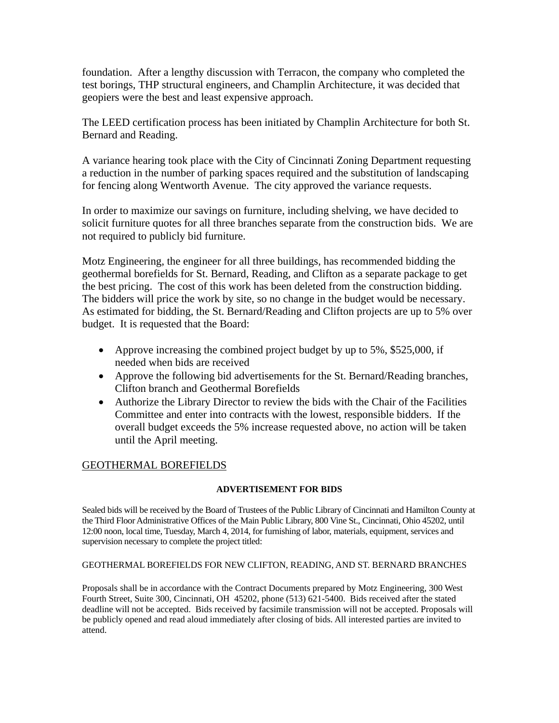foundation. After a lengthy discussion with Terracon, the company who completed the test borings, THP structural engineers, and Champlin Architecture, it was decided that geopiers were the best and least expensive approach.

The LEED certification process has been initiated by Champlin Architecture for both St. Bernard and Reading.

A variance hearing took place with the City of Cincinnati Zoning Department requesting a reduction in the number of parking spaces required and the substitution of landscaping for fencing along Wentworth Avenue. The city approved the variance requests.

In order to maximize our savings on furniture, including shelving, we have decided to solicit furniture quotes for all three branches separate from the construction bids. We are not required to publicly bid furniture.

Motz Engineering, the engineer for all three buildings, has recommended bidding the geothermal borefields for St. Bernard, Reading, and Clifton as a separate package to get the best pricing. The cost of this work has been deleted from the construction bidding. The bidders will price the work by site, so no change in the budget would be necessary. As estimated for bidding, the St. Bernard/Reading and Clifton projects are up to 5% over budget. It is requested that the Board:

- Approve increasing the combined project budget by up to 5%, \$525,000, if needed when bids are received
- Approve the following bid advertisements for the St. Bernard/Reading branches, Clifton branch and Geothermal Borefields
- Authorize the Library Director to review the bids with the Chair of the Facilities Committee and enter into contracts with the lowest, responsible bidders. If the overall budget exceeds the 5% increase requested above, no action will be taken until the April meeting.

### GEOTHERMAL BOREFIELDS

#### **ADVERTISEMENT FOR BIDS**

Sealed bids will be received by the Board of Trustees of the Public Library of Cincinnati and Hamilton County at the Third Floor Administrative Offices of the Main Public Library, 800 Vine St., Cincinnati, Ohio 45202, until 12:00 noon, local time, Tuesday, March 4, 2014, for furnishing of labor, materials, equipment, services and supervision necessary to complete the project titled:

#### GEOTHERMAL BOREFIELDS FOR NEW CLIFTON, READING, AND ST. BERNARD BRANCHES

Proposals shall be in accordance with the Contract Documents prepared by Motz Engineering, 300 West Fourth Street, Suite 300, Cincinnati, OH 45202, phone (513) 621-5400. Bids received after the stated deadline will not be accepted. Bids received by facsimile transmission will not be accepted. Proposals will be publicly opened and read aloud immediately after closing of bids. All interested parties are invited to attend.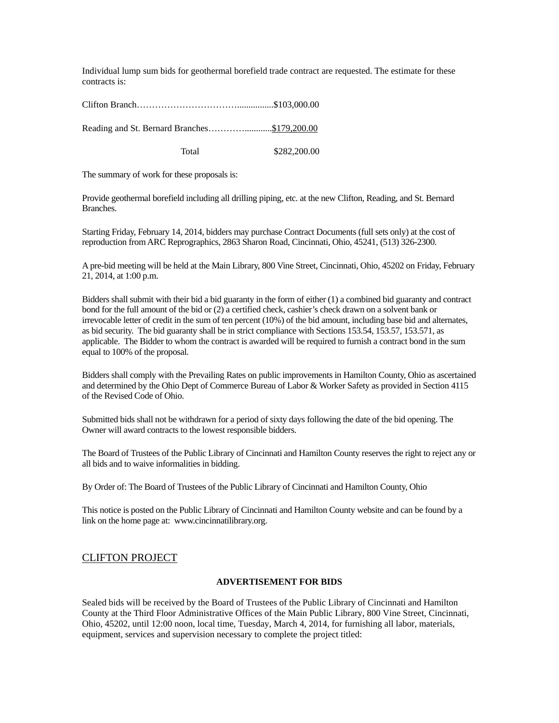Individual lump sum bids for geothermal borefield trade contract are requested. The estimate for these contracts is:

Clifton Branch……………………………................\$103,000.00

Reading and St. Bernard Branches…………............\$179,200.00

Total \$282,200.00

The summary of work for these proposals is:

Provide geothermal borefield including all drilling piping, etc. at the new Clifton, Reading, and St. Bernard Branches.

Starting Friday, February 14, 2014, bidders may purchase Contract Documents (full sets only) at the cost of reproduction from ARC Reprographics, 2863 Sharon Road, Cincinnati, Ohio, 45241, (513) 326-2300.

A pre-bid meeting will be held at the Main Library, 800 Vine Street, Cincinnati, Ohio, 45202 on Friday, February 21, 2014, at 1:00 p.m.

Bidders shall submit with their bid a bid guaranty in the form of either (1) a combined bid guaranty and contract bond for the full amount of the bid or (2) a certified check, cashier's check drawn on a solvent bank or irrevocable letter of credit in the sum of ten percent (10%) of the bid amount, including base bid and alternates, as bid security. The bid guaranty shall be in strict compliance with Sections 153.54, 153.57, 153.571, as applicable. The Bidder to whom the contract is awarded will be required to furnish a contract bond in the sum equal to 100% of the proposal.

Bidders shall comply with the Prevailing Rates on public improvements in Hamilton County, Ohio as ascertained and determined by the Ohio Dept of Commerce Bureau of Labor & Worker Safety as provided in Section 4115 of the Revised Code of Ohio.

Submitted bids shall not be withdrawn for a period of sixty days following the date of the bid opening. The Owner will award contracts to the lowest responsible bidders.

The Board of Trustees of the Public Library of Cincinnati and Hamilton County reserves the right to reject any or all bids and to waive informalities in bidding.

By Order of: The Board of Trustees of the Public Library of Cincinnati and Hamilton County, Ohio

This notice is posted on the Public Library of Cincinnati and Hamilton County website and can be found by a link on the home page at: www.cincinnatilibrary.org.

#### CLIFTON PROJECT

#### **ADVERTISEMENT FOR BIDS**

Sealed bids will be received by the Board of Trustees of the Public Library of Cincinnati and Hamilton County at the Third Floor Administrative Offices of the Main Public Library, 800 Vine Street, Cincinnati, Ohio, 45202, until 12:00 noon, local time, Tuesday, March 4, 2014, for furnishing all labor, materials, equipment, services and supervision necessary to complete the project titled: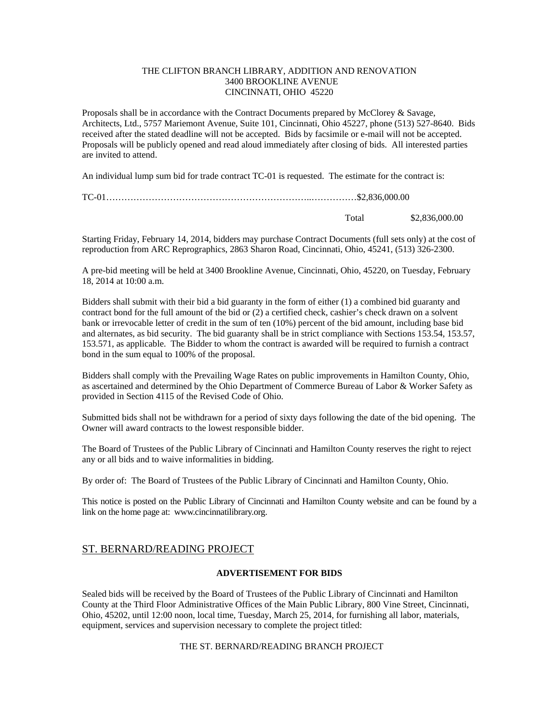#### THE CLIFTON BRANCH LIBRARY, ADDITION AND RENOVATION 3400 BROOKLINE AVENUE CINCINNATI, OHIO 45220

Proposals shall be in accordance with the Contract Documents prepared by McClorey & Savage, Architects, Ltd., 5757 Mariemont Avenue, Suite 101, Cincinnati, Ohio 45227, phone (513) 527-8640. Bids received after the stated deadline will not be accepted. Bids by facsimile or e-mail will not be accepted. Proposals will be publicly opened and read aloud immediately after closing of bids. All interested parties are invited to attend.

An individual lump sum bid for trade contract TC-01 is requested. The estimate for the contract is:

| Total | \$2,836,000.00 |
|-------|----------------|

Starting Friday, February 14, 2014, bidders may purchase Contract Documents (full sets only) at the cost of reproduction from ARC Reprographics, 2863 Sharon Road, Cincinnati, Ohio, 45241, (513) 326-2300.

A pre-bid meeting will be held at 3400 Brookline Avenue, Cincinnati, Ohio, 45220, on Tuesday, February 18, 2014 at 10:00 a.m.

Bidders shall submit with their bid a bid guaranty in the form of either (1) a combined bid guaranty and contract bond for the full amount of the bid or (2) a certified check, cashier's check drawn on a solvent bank or irrevocable letter of credit in the sum of ten (10%) percent of the bid amount, including base bid and alternates, as bid security. The bid guaranty shall be in strict compliance with Sections 153.54, 153.57, 153.571, as applicable. The Bidder to whom the contract is awarded will be required to furnish a contract bond in the sum equal to 100% of the proposal.

Bidders shall comply with the Prevailing Wage Rates on public improvements in Hamilton County, Ohio, as ascertained and determined by the Ohio Department of Commerce Bureau of Labor & Worker Safety as provided in Section 4115 of the Revised Code of Ohio.

Submitted bids shall not be withdrawn for a period of sixty days following the date of the bid opening. The Owner will award contracts to the lowest responsible bidder.

The Board of Trustees of the Public Library of Cincinnati and Hamilton County reserves the right to reject any or all bids and to waive informalities in bidding.

By order of: The Board of Trustees of the Public Library of Cincinnati and Hamilton County, Ohio.

This notice is posted on the Public Library of Cincinnati and Hamilton County website and can be found by a link on the home page at: www.cincinnatilibrary.org.

#### ST. BERNARD/READING PROJECT

#### **ADVERTISEMENT FOR BIDS**

Sealed bids will be received by the Board of Trustees of the Public Library of Cincinnati and Hamilton County at the Third Floor Administrative Offices of the Main Public Library, 800 Vine Street, Cincinnati, Ohio, 45202, until 12:00 noon, local time, Tuesday, March 25, 2014, for furnishing all labor, materials, equipment, services and supervision necessary to complete the project titled:

#### THE ST. BERNARD/READING BRANCH PROJECT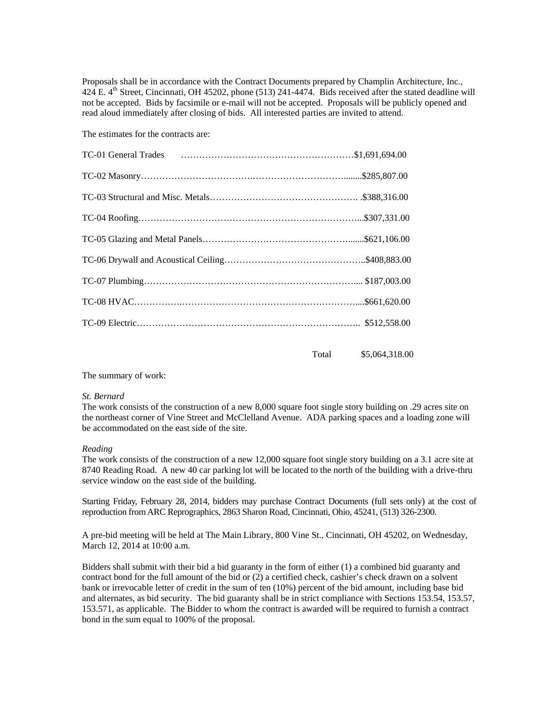Proposals shall be in accordance with the Contract Documents prepared by Champlin Architecture, Inc., 424 E.  $4<sup>th</sup>$  Street, Cincinnati, OH 45202, phone (513) 241-4474. Bids received after the stated deadline will not be accepted. Bids by facsimile or e-mail will not be accepted. Proposals will be publicly opened and read aloud immediately after closing of bids. All interested parties are invited to attend.

The estimates for the contracts are:

Total \$5,064,318.00

The summary of work:

#### *St. Bernard*

The work consists of the construction of a new 8,000 square foot single story building on .29 acres site on the northeast corner of Vine Street and McClelland Avenue. ADA parking spaces and a loading zone will be accommodated on the east side of the site.

#### *Reading*

The work consists of the construction of a new 12,000 square foot single story building on a 3.1 acre site at 8740 Reading Road. A new 40 car parking lot will be located to the north of the building with a drive-thru service window on the east side of the building.

Starting Friday, February 28, 2014, bidders may purchase Contract Documents (full sets only) at the cost of reproduction from ARC Reprographics, 2863 Sharon Road, Cincinnati, Ohio, 45241, (513) 326-2300.

A pre-bid meeting will be held at The Main Library, 800 Vine St., Cincinnati, OH 45202, on Wednesday, March 12, 2014 at 10:00 a.m.

Bidders shall submit with their bid a bid guaranty in the form of either (1) a combined bid guaranty and contract bond for the full amount of the bid or (2) a certified check, cashier's check drawn on a solvent bank or irrevocable letter of credit in the sum of ten (10%) percent of the bid amount, including base bid and alternates, as bid security. The bid guaranty shall be in strict compliance with Sections 153.54, 153.57, 153.571, as applicable. The Bidder to whom the contract is awarded will be required to furnish a contract bond in the sum equal to 100% of the proposal.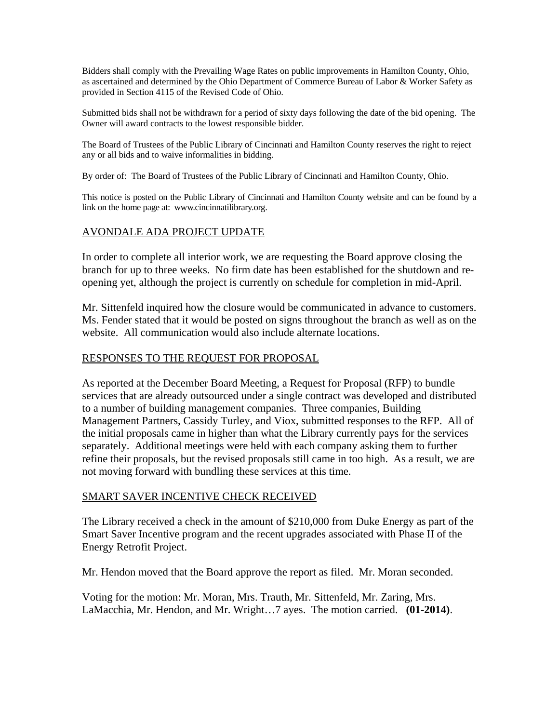Bidders shall comply with the Prevailing Wage Rates on public improvements in Hamilton County, Ohio, as ascertained and determined by the Ohio Department of Commerce Bureau of Labor & Worker Safety as provided in Section 4115 of the Revised Code of Ohio.

Submitted bids shall not be withdrawn for a period of sixty days following the date of the bid opening. The Owner will award contracts to the lowest responsible bidder.

The Board of Trustees of the Public Library of Cincinnati and Hamilton County reserves the right to reject any or all bids and to waive informalities in bidding.

By order of: The Board of Trustees of the Public Library of Cincinnati and Hamilton County, Ohio.

This notice is posted on the Public Library of Cincinnati and Hamilton County website and can be found by a link on the home page at: www.cincinnatilibrary.org.

#### AVONDALE ADA PROJECT UPDATE

In order to complete all interior work, we are requesting the Board approve closing the branch for up to three weeks. No firm date has been established for the shutdown and reopening yet, although the project is currently on schedule for completion in mid-April.

Mr. Sittenfeld inquired how the closure would be communicated in advance to customers. Ms. Fender stated that it would be posted on signs throughout the branch as well as on the website. All communication would also include alternate locations.

#### RESPONSES TO THE REQUEST FOR PROPOSAL

As reported at the December Board Meeting, a Request for Proposal (RFP) to bundle services that are already outsourced under a single contract was developed and distributed to a number of building management companies. Three companies, Building Management Partners, Cassidy Turley, and Viox, submitted responses to the RFP. All of the initial proposals came in higher than what the Library currently pays for the services separately. Additional meetings were held with each company asking them to further refine their proposals, but the revised proposals still came in too high. As a result, we are not moving forward with bundling these services at this time.

#### SMART SAVER INCENTIVE CHECK RECEIVED

The Library received a check in the amount of \$210,000 from Duke Energy as part of the Smart Saver Incentive program and the recent upgrades associated with Phase II of the Energy Retrofit Project.

Mr. Hendon moved that the Board approve the report as filed. Mr. Moran seconded.

Voting for the motion: Mr. Moran, Mrs. Trauth, Mr. Sittenfeld, Mr. Zaring, Mrs. LaMacchia, Mr. Hendon, and Mr. Wright…7 ayes. The motion carried. **(01-2014)**.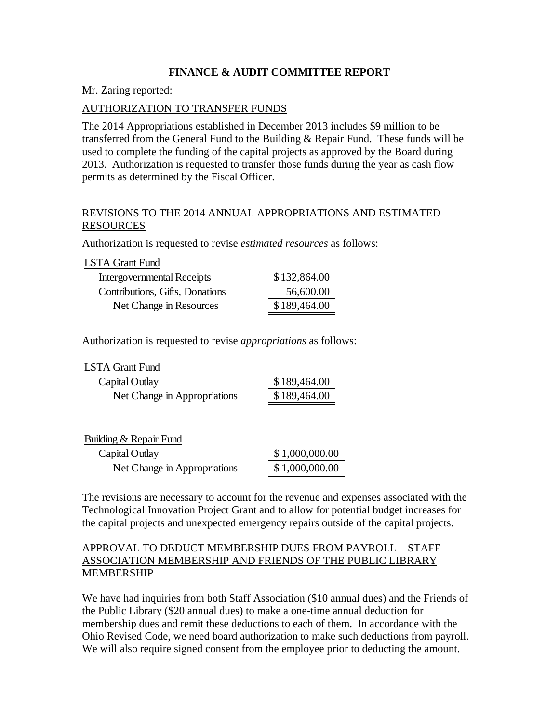#### **FINANCE & AUDIT COMMITTEE REPORT**

Mr. Zaring reported:

#### AUTHORIZATION TO TRANSFER FUNDS

The 2014 Appropriations established in December 2013 includes \$9 million to be transferred from the General Fund to the Building & Repair Fund. These funds will be used to complete the funding of the capital projects as approved by the Board during 2013. Authorization is requested to transfer those funds during the year as cash flow permits as determined by the Fiscal Officer.

#### REVISIONS TO THE 2014 ANNUAL APPROPRIATIONS AND ESTIMATED RESOURCES

Authorization is requested to revise *estimated resources* as follows:

| LSTA Grant Fund                 |              |
|---------------------------------|--------------|
| Intergovernmental Receipts      | \$132,864.00 |
| Contributions, Gifts, Donations | 56,600.00    |
| Net Change in Resources         | \$189,464.00 |

Authorization is requested to revise *appropriations* as follows:

LSTA Grant Fund

| Capital Outlay               | \$189,464.00 |
|------------------------------|--------------|
| Net Change in Appropriations | \$189,464.00 |

| Building & Repair Fund       |                |
|------------------------------|----------------|
| Capital Outlay               | \$1,000,000.00 |
| Net Change in Appropriations | \$1,000,000.00 |

The revisions are necessary to account for the revenue and expenses associated with the Technological Innovation Project Grant and to allow for potential budget increases for the capital projects and unexpected emergency repairs outside of the capital projects.

#### APPROVAL TO DEDUCT MEMBERSHIP DUES FROM PAYROLL – STAFF ASSOCIATION MEMBERSHIP AND FRIENDS OF THE PUBLIC LIBRARY MEMBERSHIP

We have had inquiries from both Staff Association (\$10 annual dues) and the Friends of the Public Library (\$20 annual dues) to make a one-time annual deduction for membership dues and remit these deductions to each of them. In accordance with the Ohio Revised Code, we need board authorization to make such deductions from payroll. We will also require signed consent from the employee prior to deducting the amount.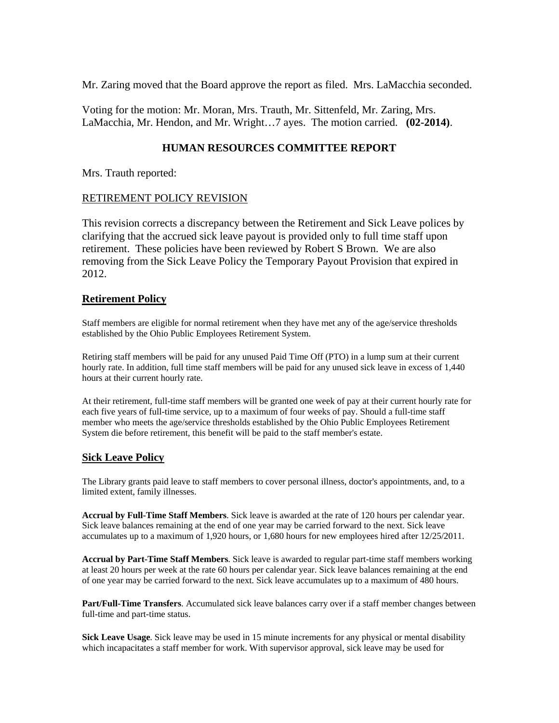Mr. Zaring moved that the Board approve the report as filed. Mrs. LaMacchia seconded.

Voting for the motion: Mr. Moran, Mrs. Trauth, Mr. Sittenfeld, Mr. Zaring, Mrs. LaMacchia, Mr. Hendon, and Mr. Wright…7 ayes. The motion carried. **(02-2014)**.

#### **HUMAN RESOURCES COMMITTEE REPORT**

Mrs. Trauth reported:

#### RETIREMENT POLICY REVISION

This revision corrects a discrepancy between the Retirement and Sick Leave polices by clarifying that the accrued sick leave payout is provided only to full time staff upon retirement. These policies have been reviewed by Robert S Brown. We are also removing from the Sick Leave Policy the Temporary Payout Provision that expired in 2012.

#### **Retirement Policy**

Staff members are eligible for normal retirement when they have met any of the age/service thresholds established by the Ohio Public Employees Retirement System.

Retiring staff members will be paid for any unused Paid Time Off (PTO) in a lump sum at their current hourly rate. In addition, full time staff members will be paid for any unused sick leave in excess of 1,440 hours at their current hourly rate.

At their retirement, full-time staff members will be granted one week of pay at their current hourly rate for each five years of full-time service, up to a maximum of four weeks of pay. Should a full-time staff member who meets the age/service thresholds established by the Ohio Public Employees Retirement System die before retirement, this benefit will be paid to the staff member's estate.

#### **Sick Leave Policy**

The Library grants paid leave to staff members to cover personal illness, doctor's appointments, and, to a limited extent, family illnesses.

**Accrual by Full-Time Staff Members**. Sick leave is awarded at the rate of 120 hours per calendar year. Sick leave balances remaining at the end of one year may be carried forward to the next. Sick leave accumulates up to a maximum of 1,920 hours, or 1,680 hours for new employees hired after 12/25/2011.

**Accrual by Part-Time Staff Members**. Sick leave is awarded to regular part-time staff members working at least 20 hours per week at the rate 60 hours per calendar year. Sick leave balances remaining at the end of one year may be carried forward to the next. Sick leave accumulates up to a maximum of 480 hours.

**Part/Full-Time Transfers**. Accumulated sick leave balances carry over if a staff member changes between full-time and part-time status.

**Sick Leave Usage**. Sick leave may be used in 15 minute increments for any physical or mental disability which incapacitates a staff member for work. With supervisor approval, sick leave may be used for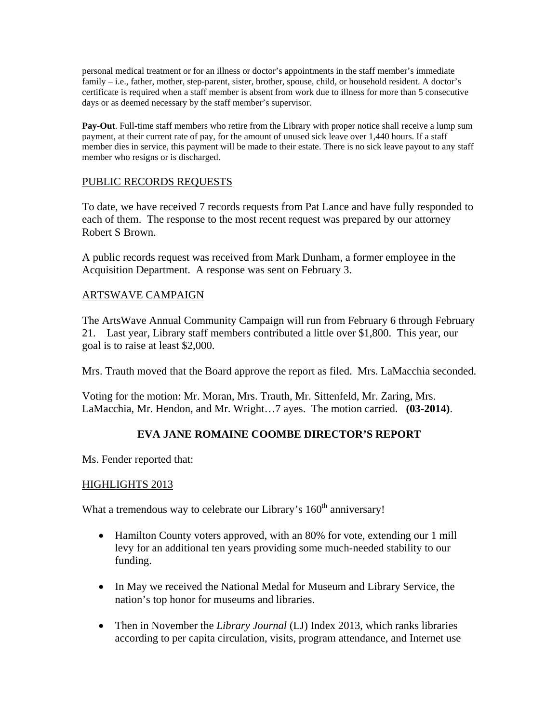personal medical treatment or for an illness or doctor's appointments in the staff member's immediate family – i.e., father, mother, step-parent, sister, brother, spouse, child, or household resident. A doctor's certificate is required when a staff member is absent from work due to illness for more than 5 consecutive days or as deemed necessary by the staff member's supervisor.

**Pay-Out**. Full-time staff members who retire from the Library with proper notice shall receive a lump sum payment, at their current rate of pay, for the amount of unused sick leave over 1,440 hours. If a staff member dies in service, this payment will be made to their estate. There is no sick leave payout to any staff member who resigns or is discharged.

#### PUBLIC RECORDS REQUESTS

To date, we have received 7 records requests from Pat Lance and have fully responded to each of them. The response to the most recent request was prepared by our attorney Robert S Brown.

A public records request was received from Mark Dunham, a former employee in the Acquisition Department. A response was sent on February 3.

### ARTSWAVE CAMPAIGN

The ArtsWave Annual Community Campaign will run from February 6 through February 21. Last year, Library staff members contributed a little over \$1,800. This year, our goal is to raise at least \$2,000.

Mrs. Trauth moved that the Board approve the report as filed. Mrs. LaMacchia seconded.

Voting for the motion: Mr. Moran, Mrs. Trauth, Mr. Sittenfeld, Mr. Zaring, Mrs. LaMacchia, Mr. Hendon, and Mr. Wright…7 ayes. The motion carried. **(03-2014)**.

### **EVA JANE ROMAINE COOMBE DIRECTOR'S REPORT**

Ms. Fender reported that:

#### HIGHLIGHTS 2013

What a tremendous way to celebrate our Library's 160<sup>th</sup> anniversary!

- Hamilton County voters approved, with an 80% for vote, extending our 1 mill levy for an additional ten years providing some much-needed stability to our funding.
- In May we received the National Medal for Museum and Library Service, the nation's top honor for museums and libraries.
- Then in November the *Library Journal* (LJ) Index 2013, which ranks libraries according to per capita circulation, visits, program attendance, and Internet use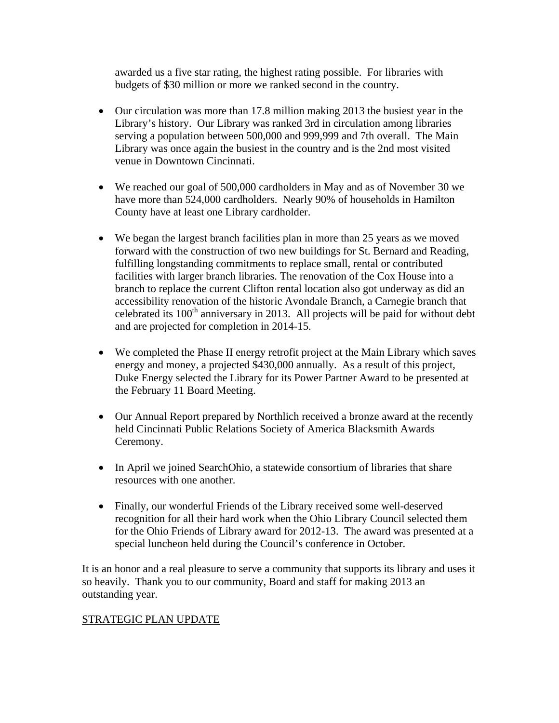awarded us a five star rating, the highest rating possible. For libraries with budgets of \$30 million or more we ranked second in the country.

- Our circulation was more than 17.8 million making 2013 the busiest year in the Library's history. Our Library was ranked 3rd in circulation among libraries serving a population between 500,000 and 999,999 and 7th overall. The Main Library was once again the busiest in the country and is the 2nd most visited venue in Downtown Cincinnati.
- We reached our goal of 500,000 cardholders in May and as of November 30 we have more than 524,000 cardholders. Nearly 90% of households in Hamilton County have at least one Library cardholder.
- We began the largest branch facilities plan in more than 25 years as we moved forward with the construction of two new buildings for St. Bernard and Reading, fulfilling longstanding commitments to replace small, rental or contributed facilities with larger branch libraries. The renovation of the Cox House into a branch to replace the current Clifton rental location also got underway as did an accessibility renovation of the historic Avondale Branch, a Carnegie branch that celebrated its  $100<sup>th</sup>$  anniversary in 2013. All projects will be paid for without debt and are projected for completion in 2014-15.
- We completed the Phase II energy retrofit project at the Main Library which saves energy and money, a projected \$430,000 annually. As a result of this project, Duke Energy selected the Library for its Power Partner Award to be presented at the February 11 Board Meeting.
- Our Annual Report prepared by Northlich received a bronze award at the recently held Cincinnati Public Relations Society of America Blacksmith Awards Ceremony.
- In April we joined SearchOhio, a statewide consortium of libraries that share resources with one another.
- Finally, our wonderful Friends of the Library received some well-deserved recognition for all their hard work when the Ohio Library Council selected them for the Ohio Friends of Library award for 2012-13. The award was presented at a special luncheon held during the Council's conference in October.

It is an honor and a real pleasure to serve a community that supports its library and uses it so heavily. Thank you to our community, Board and staff for making 2013 an outstanding year.

### STRATEGIC PLAN UPDATE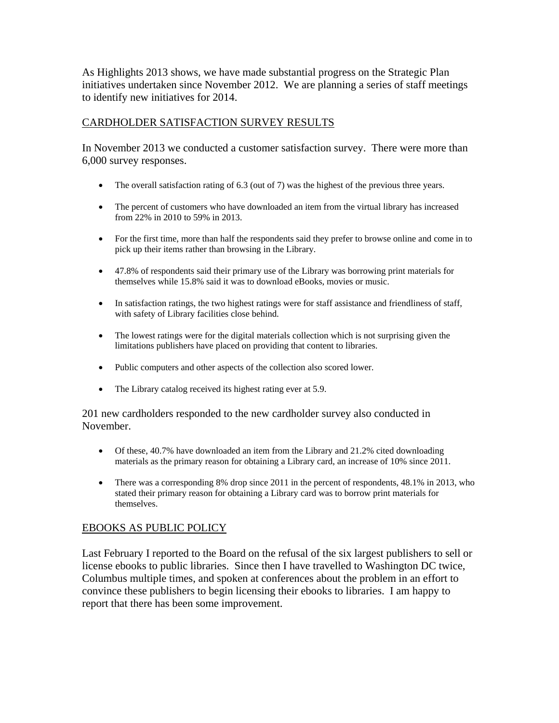As Highlights 2013 shows, we have made substantial progress on the Strategic Plan initiatives undertaken since November 2012. We are planning a series of staff meetings to identify new initiatives for 2014.

#### CARDHOLDER SATISFACTION SURVEY RESULTS

In November 2013 we conducted a customer satisfaction survey. There were more than 6,000 survey responses.

- The overall satisfaction rating of 6.3 (out of 7) was the highest of the previous three years.
- The percent of customers who have downloaded an item from the virtual library has increased from 22% in 2010 to 59% in 2013.
- For the first time, more than half the respondents said they prefer to browse online and come in to pick up their items rather than browsing in the Library.
- 47.8% of respondents said their primary use of the Library was borrowing print materials for themselves while 15.8% said it was to download eBooks, movies or music.
- In satisfaction ratings, the two highest ratings were for staff assistance and friendliness of staff, with safety of Library facilities close behind.
- The lowest ratings were for the digital materials collection which is not surprising given the limitations publishers have placed on providing that content to libraries.
- Public computers and other aspects of the collection also scored lower.
- The Library catalog received its highest rating ever at 5.9.

201 new cardholders responded to the new cardholder survey also conducted in November.

- Of these, 40.7% have downloaded an item from the Library and 21.2% cited downloading materials as the primary reason for obtaining a Library card, an increase of 10% since 2011.
- There was a corresponding 8% drop since 2011 in the percent of respondents, 48.1% in 2013, who stated their primary reason for obtaining a Library card was to borrow print materials for themselves.

### EBOOKS AS PUBLIC POLICY

Last February I reported to the Board on the refusal of the six largest publishers to sell or license ebooks to public libraries. Since then I have travelled to Washington DC twice, Columbus multiple times, and spoken at conferences about the problem in an effort to convince these publishers to begin licensing their ebooks to libraries. I am happy to report that there has been some improvement.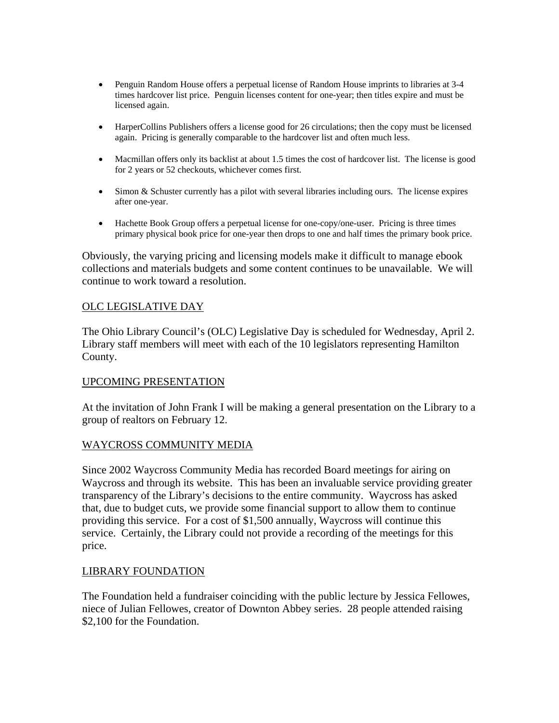- Penguin Random House offers a perpetual license of Random House imprints to libraries at 3-4 times hardcover list price. Penguin licenses content for one-year; then titles expire and must be licensed again.
- HarperCollins Publishers offers a license good for 26 circulations; then the copy must be licensed again. Pricing is generally comparable to the hardcover list and often much less.
- Macmillan offers only its backlist at about 1.5 times the cost of hardcover list. The license is good for 2 years or 52 checkouts, whichever comes first.
- Simon & Schuster currently has a pilot with several libraries including ours. The license expires after one-year.
- Hachette Book Group offers a perpetual license for one-copy/one-user. Pricing is three times primary physical book price for one-year then drops to one and half times the primary book price.

Obviously, the varying pricing and licensing models make it difficult to manage ebook collections and materials budgets and some content continues to be unavailable. We will continue to work toward a resolution.

#### OLC LEGISLATIVE DAY

The Ohio Library Council's (OLC) Legislative Day is scheduled for Wednesday, April 2. Library staff members will meet with each of the 10 legislators representing Hamilton County.

#### UPCOMING PRESENTATION

At the invitation of John Frank I will be making a general presentation on the Library to a group of realtors on February 12.

#### WAYCROSS COMMUNITY MEDIA

Since 2002 Waycross Community Media has recorded Board meetings for airing on Waycross and through its website. This has been an invaluable service providing greater transparency of the Library's decisions to the entire community. Waycross has asked that, due to budget cuts, we provide some financial support to allow them to continue providing this service. For a cost of \$1,500 annually, Waycross will continue this service. Certainly, the Library could not provide a recording of the meetings for this price.

#### LIBRARY FOUNDATION

The Foundation held a fundraiser coinciding with the public lecture by Jessica Fellowes, niece of Julian Fellowes, creator of Downton Abbey series. 28 people attended raising \$2,100 for the Foundation.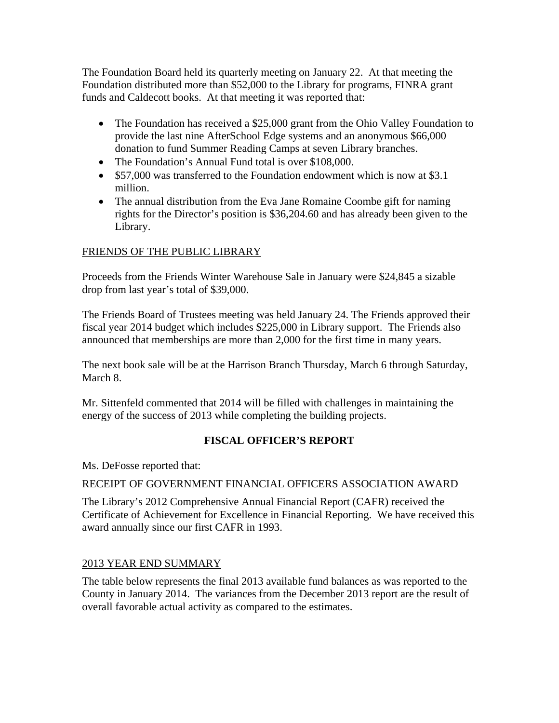The Foundation Board held its quarterly meeting on January 22. At that meeting the Foundation distributed more than \$52,000 to the Library for programs, FINRA grant funds and Caldecott books. At that meeting it was reported that:

- The Foundation has received a \$25,000 grant from the Ohio Valley Foundation to provide the last nine AfterSchool Edge systems and an anonymous \$66,000 donation to fund Summer Reading Camps at seven Library branches.
- The Foundation's Annual Fund total is over \$108,000.
- \$57,000 was transferred to the Foundation endowment which is now at \$3.1 million.
- The annual distribution from the Eva Jane Romaine Coombe gift for naming rights for the Director's position is \$36,204.60 and has already been given to the Library.

# FRIENDS OF THE PUBLIC LIBRARY

Proceeds from the Friends Winter Warehouse Sale in January were \$24,845 a sizable drop from last year's total of \$39,000.

The Friends Board of Trustees meeting was held January 24. The Friends approved their fiscal year 2014 budget which includes \$225,000 in Library support. The Friends also announced that memberships are more than 2,000 for the first time in many years.

The next book sale will be at the Harrison Branch Thursday, March 6 through Saturday, March 8.

Mr. Sittenfeld commented that 2014 will be filled with challenges in maintaining the energy of the success of 2013 while completing the building projects.

# **FISCAL OFFICER'S REPORT**

Ms. DeFosse reported that:

### RECEIPT OF GOVERNMENT FINANCIAL OFFICERS ASSOCIATION AWARD

The Library's 2012 Comprehensive Annual Financial Report (CAFR) received the Certificate of Achievement for Excellence in Financial Reporting. We have received this award annually since our first CAFR in 1993.

### 2013 YEAR END SUMMARY

The table below represents the final 2013 available fund balances as was reported to the County in January 2014. The variances from the December 2013 report are the result of overall favorable actual activity as compared to the estimates.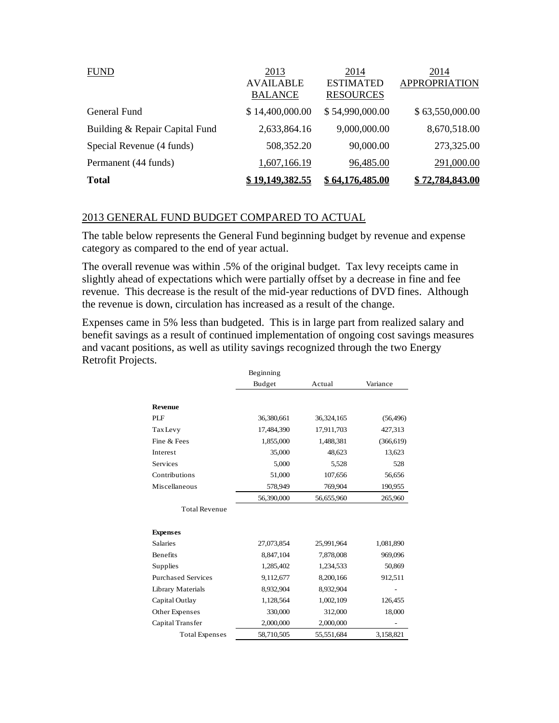| <b>FUND</b>                    | 2013                               | 2014                                 | 2014                 |
|--------------------------------|------------------------------------|--------------------------------------|----------------------|
|                                | <b>AVAILABLE</b><br><b>BALANCE</b> | <b>ESTIMATED</b><br><b>RESOURCES</b> | <b>APPROPRIATION</b> |
| General Fund                   | \$14,400,000.00                    | \$54,990,000.00                      | \$63,550,000.00      |
| Building & Repair Capital Fund | 2,633,864.16                       | 9,000,000.00                         | 8,670,518.00         |
| Special Revenue (4 funds)      | 508,352.20                         | 90,000.00                            | 273,325.00           |
| Permanent (44 funds)           | 1,607,166.19                       | 96,485.00                            | 291,000.00           |
| <b>Total</b>                   | 19,149,382.55                      | \$64,176,485.00                      | 72,784,843.00        |

#### 2013 GENERAL FUND BUDGET COMPARED TO ACTUAL

The table below represents the General Fund beginning budget by revenue and expense category as compared to the end of year actual.

The overall revenue was within .5% of the original budget. Tax levy receipts came in slightly ahead of expectations which were partially offset by a decrease in fine and fee revenue. This decrease is the result of the mid-year reductions of DVD fines. Although the revenue is down, circulation has increased as a result of the change.

Expenses came in 5% less than budgeted. This is in large part from realized salary and benefit savings as a result of continued implementation of ongoing cost savings measures and vacant positions, as well as utility savings recognized through the two Energy Retrofit Projects.

|                           | Beginning  |            |            |  |
|---------------------------|------------|------------|------------|--|
|                           | Budget     | Actual     | Variance   |  |
| <b>Revenue</b>            |            |            |            |  |
| PLF                       | 36,380,661 | 36,324,165 | (56, 496)  |  |
| <b>Tax Levy</b>           | 17,484,390 | 17,911,703 | 427,313    |  |
| Fine & Fees               | 1,855,000  | 1,488,381  | (366, 619) |  |
| Interest                  | 35,000     | 48,623     | 13,623     |  |
| Services                  | 5,000      | 5,528      | 528        |  |
| Contributions             | 51,000     | 107,656    | 56,656     |  |
| Miscellaneous             | 578,949    | 769,904    | 190,955    |  |
|                           | 56,390,000 | 56,655,960 | 265,960    |  |
| <b>Total Revenue</b>      |            |            |            |  |
| <b>Expenses</b>           |            |            |            |  |
| <b>Salaries</b>           | 27,073,854 | 25,991,964 | 1,081,890  |  |
| Benefits                  | 8,847,104  | 7,878,008  | 969,096    |  |
| Supplies                  | 1,285,402  | 1,234,533  | 50,869     |  |
| <b>Purchased Services</b> | 9,112,677  | 8,200,166  | 912,511    |  |
| <b>Library Materials</b>  | 8,932,904  | 8,932,904  |            |  |
| Capital Outlay            | 1,128,564  | 1,002,109  | 126,455    |  |
| Other Expenses            | 330,000    | 312,000    | 18,000     |  |
| Capital Transfer          | 2,000,000  | 2,000,000  |            |  |
| <b>Total Expenses</b>     | 58,710,505 | 55,551,684 | 3,158,821  |  |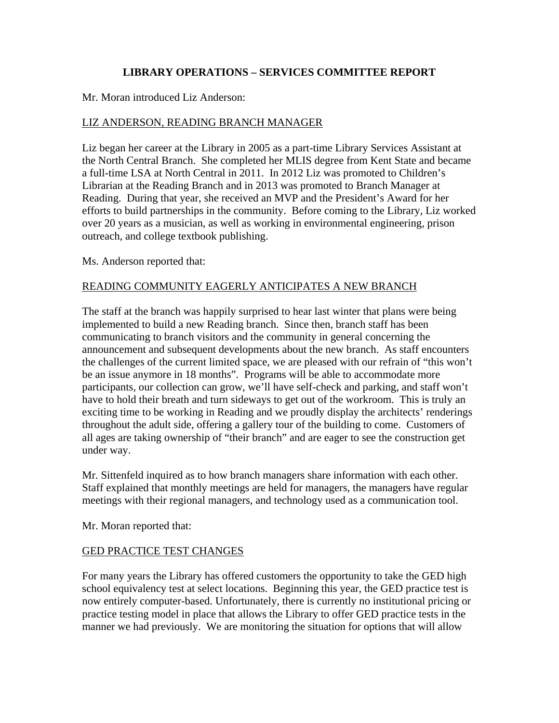### **LIBRARY OPERATIONS – SERVICES COMMITTEE REPORT**

#### Mr. Moran introduced Liz Anderson:

#### LIZ ANDERSON, READING BRANCH MANAGER

Liz began her career at the Library in 2005 as a part-time Library Services Assistant at the North Central Branch. She completed her MLIS degree from Kent State and became a full-time LSA at North Central in 2011. In 2012 Liz was promoted to Children's Librarian at the Reading Branch and in 2013 was promoted to Branch Manager at Reading. During that year, she received an MVP and the President's Award for her efforts to build partnerships in the community. Before coming to the Library, Liz worked over 20 years as a musician, as well as working in environmental engineering, prison outreach, and college textbook publishing.

Ms. Anderson reported that:

#### READING COMMUNITY EAGERLY ANTICIPATES A NEW BRANCH

The staff at the branch was happily surprised to hear last winter that plans were being implemented to build a new Reading branch. Since then, branch staff has been communicating to branch visitors and the community in general concerning the announcement and subsequent developments about the new branch. As staff encounters the challenges of the current limited space, we are pleased with our refrain of "this won't be an issue anymore in 18 months". Programs will be able to accommodate more participants, our collection can grow, we'll have self-check and parking, and staff won't have to hold their breath and turn sideways to get out of the workroom. This is truly an exciting time to be working in Reading and we proudly display the architects' renderings throughout the adult side, offering a gallery tour of the building to come. Customers of all ages are taking ownership of "their branch" and are eager to see the construction get under way.

Mr. Sittenfeld inquired as to how branch managers share information with each other. Staff explained that monthly meetings are held for managers, the managers have regular meetings with their regional managers, and technology used as a communication tool.

Mr. Moran reported that:

### GED PRACTICE TEST CHANGES

For many years the Library has offered customers the opportunity to take the GED high school equivalency test at select locations. Beginning this year, the GED practice test is now entirely computer-based. Unfortunately, there is currently no institutional pricing or practice testing model in place that allows the Library to offer GED practice tests in the manner we had previously. We are monitoring the situation for options that will allow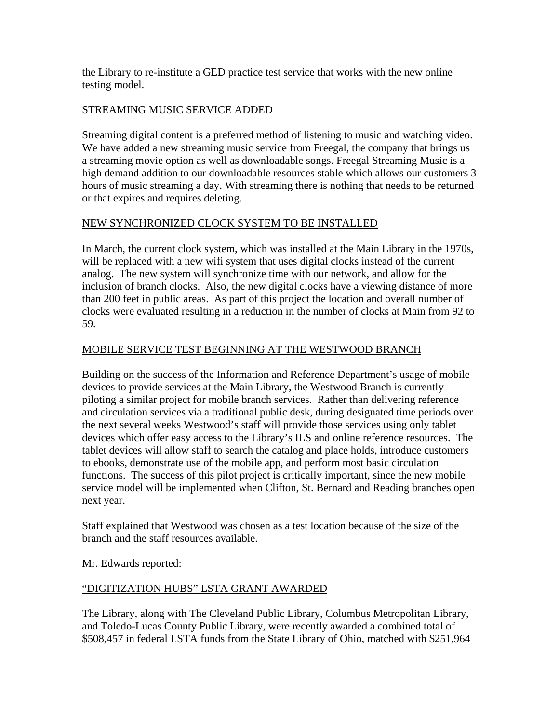the Library to re-institute a GED practice test service that works with the new online testing model.

### STREAMING MUSIC SERVICE ADDED

Streaming digital content is a preferred method of listening to music and watching video. We have added a new streaming music service from Freegal, the company that brings us a streaming movie option as well as downloadable songs. Freegal Streaming Music is a high demand addition to our downloadable resources stable which allows our customers 3 hours of music streaming a day. With streaming there is nothing that needs to be returned or that expires and requires deleting.

### NEW SYNCHRONIZED CLOCK SYSTEM TO BE INSTALLED

In March, the current clock system, which was installed at the Main Library in the 1970s, will be replaced with a new wifi system that uses digital clocks instead of the current analog. The new system will synchronize time with our network, and allow for the inclusion of branch clocks. Also, the new digital clocks have a viewing distance of more than 200 feet in public areas. As part of this project the location and overall number of clocks were evaluated resulting in a reduction in the number of clocks at Main from 92 to 59.

### MOBILE SERVICE TEST BEGINNING AT THE WESTWOOD BRANCH

Building on the success of the Information and Reference Department's usage of mobile devices to provide services at the Main Library, the Westwood Branch is currently piloting a similar project for mobile branch services. Rather than delivering reference and circulation services via a traditional public desk, during designated time periods over the next several weeks Westwood's staff will provide those services using only tablet devices which offer easy access to the Library's ILS and online reference resources. The tablet devices will allow staff to search the catalog and place holds, introduce customers to ebooks, demonstrate use of the mobile app, and perform most basic circulation functions. The success of this pilot project is critically important, since the new mobile service model will be implemented when Clifton, St. Bernard and Reading branches open next year.

Staff explained that Westwood was chosen as a test location because of the size of the branch and the staff resources available.

Mr. Edwards reported:

### "DIGITIZATION HUBS" LSTA GRANT AWARDED

The Library, along with The Cleveland Public Library, Columbus Metropolitan Library, and Toledo-Lucas County Public Library, were recently awarded a combined total of \$508,457 in federal LSTA funds from the State Library of Ohio, matched with \$251,964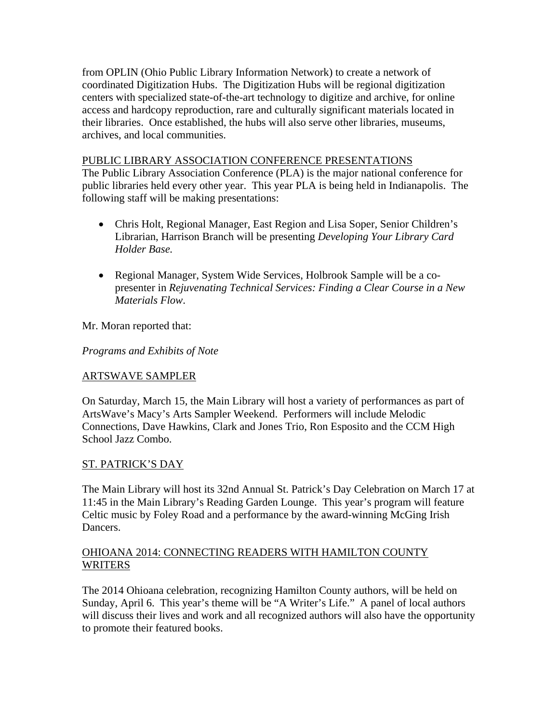from OPLIN (Ohio Public Library Information Network) to create a network of coordinated Digitization Hubs. The Digitization Hubs will be regional digitization centers with specialized state-of-the-art technology to digitize and archive, for online access and hardcopy reproduction, rare and culturally significant materials located in their libraries. Once established, the hubs will also serve other libraries, museums, archives, and local communities.

#### PUBLIC LIBRARY ASSOCIATION CONFERENCE PRESENTATIONS

The Public Library Association Conference (PLA) is the major national conference for public libraries held every other year. This year PLA is being held in Indianapolis. The following staff will be making presentations:

- Chris Holt, Regional Manager, East Region and Lisa Soper, Senior Children's Librarian, Harrison Branch will be presenting *Developing Your Library Card Holder Base.*
- Regional Manager, System Wide Services, Holbrook Sample will be a copresenter in *Rejuvenating Technical Services: Finding a Clear Course in a New Materials Flow*.

Mr. Moran reported that:

*Programs and Exhibits of Note* 

### ARTSWAVE SAMPLER

On Saturday, March 15, the Main Library will host a variety of performances as part of ArtsWave's Macy's Arts Sampler Weekend. Performers will include Melodic Connections, Dave Hawkins, Clark and Jones Trio, Ron Esposito and the CCM High School Jazz Combo.

#### ST. PATRICK'S DAY

The Main Library will host its 32nd Annual St. Patrick's Day Celebration on March 17 at 11:45 in the Main Library's Reading Garden Lounge. This year's program will feature Celtic music by Foley Road and a performance by the award-winning McGing Irish Dancers.

#### OHIOANA 2014: CONNECTING READERS WITH HAMILTON COUNTY WRITERS

The 2014 Ohioana celebration, recognizing Hamilton County authors, will be held on Sunday, April 6. This year's theme will be "A Writer's Life." A panel of local authors will discuss their lives and work and all recognized authors will also have the opportunity to promote their featured books.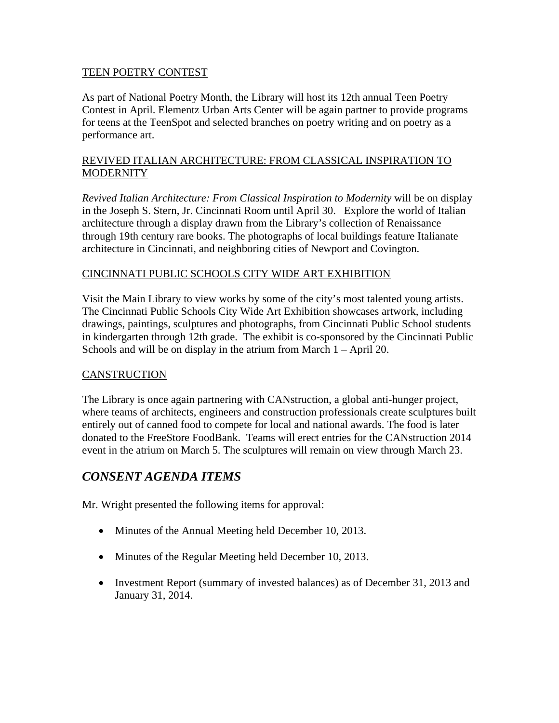#### TEEN POETRY CONTEST

As part of National Poetry Month, the Library will host its 12th annual Teen Poetry Contest in April. Elementz Urban Arts Center will be again partner to provide programs for teens at the TeenSpot and selected branches on poetry writing and on poetry as a performance art.

#### REVIVED ITALIAN ARCHITECTURE: FROM CLASSICAL INSPIRATION TO **MODERNITY**

*Revived Italian Architecture: From Classical Inspiration to Modernity* will be on display in the Joseph S. Stern, Jr. Cincinnati Room until April 30. Explore the world of Italian architecture through a display drawn from the Library's collection of Renaissance through 19th century rare books. The photographs of local buildings feature Italianate architecture in Cincinnati, and neighboring cities of Newport and Covington.

### CINCINNATI PUBLIC SCHOOLS CITY WIDE ART EXHIBITION

Visit the Main Library to view works by some of the city's most talented young artists. The Cincinnati Public Schools City Wide Art Exhibition showcases artwork, including drawings, paintings, sculptures and photographs, from Cincinnati Public School students in kindergarten through 12th grade. The exhibit is co-sponsored by the Cincinnati Public Schools and will be on display in the atrium from March 1 – April 20.

### CANSTRUCTION

The Library is once again partnering with CANstruction, a global anti-hunger project, where teams of architects, engineers and construction professionals create sculptures built entirely out of canned food to compete for local and national awards. The food is later donated to the FreeStore FoodBank. Teams will erect entries for the CANstruction 2014 event in the atrium on March 5. The sculptures will remain on view through March 23.

# *CONSENT AGENDA ITEMS*

Mr. Wright presented the following items for approval:

- Minutes of the Annual Meeting held December 10, 2013.
- Minutes of the Regular Meeting held December 10, 2013.
- Investment Report (summary of invested balances) as of December 31, 2013 and January 31, 2014.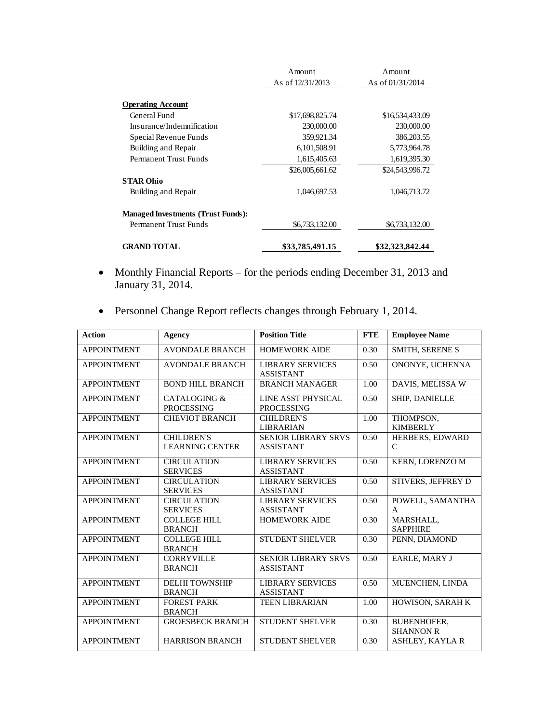|                                           | Amount             | Amount             |
|-------------------------------------------|--------------------|--------------------|
|                                           | As of $12/31/2013$ | As of $01/31/2014$ |
|                                           |                    |                    |
| <b>Operating Account</b>                  |                    |                    |
| General Fund                              | \$17,698,825.74    | \$16,534,433.09    |
| Insurance/Indemnification                 | 230,000.00         | 230,000.00         |
| Special Revenue Funds                     | 359,921.34         | 386,203.55         |
| Building and Repair                       | 6,101,508.91       | 5,773,964.78       |
| Permanent Trust Funds                     | 1,615,405.63       | 1,619,395.30       |
|                                           | \$26,005,661.62    | \$24,543,996.72    |
| <b>STAR Ohio</b>                          |                    |                    |
| Building and Repair                       | 1,046,697.53       | 1,046,713.72       |
| <b>Managed Investments (Trust Funds):</b> |                    |                    |
| Permanent Trust Funds                     | \$6,733,132.00     | \$6,733,132.00     |
| <b>GRAND TOTAL</b>                        | \$33,785,491.15    | \$32,323,842.44    |

- Monthly Financial Reports for the periods ending December 31, 2013 and January 31, 2014.
- Personnel Change Report reflects changes through February 1, 2014.

| <b>Action</b>      | Agency                                       | <b>Position Title</b>                          | <b>FTE</b> | <b>Employee Name</b>                   |
|--------------------|----------------------------------------------|------------------------------------------------|------------|----------------------------------------|
| <b>APPOINTMENT</b> | <b>AVONDALE BRANCH</b>                       | <b>HOMEWORK AIDE</b>                           | 0.30       | <b>SMITH, SERENE S</b>                 |
| <b>APPOINTMENT</b> | <b>AVONDALE BRANCH</b>                       | <b>LIBRARY SERVICES</b><br><b>ASSISTANT</b>    | 0.50       | ONONYE, UCHENNA                        |
| <b>APPOINTMENT</b> | <b>BOND HILL BRANCH</b>                      | <b>BRANCH MANAGER</b>                          | 1.00       | DAVIS, MELISSA W                       |
| <b>APPOINTMENT</b> | <b>CATALOGING &amp;</b><br><b>PROCESSING</b> | LINE ASST PHYSICAL<br><b>PROCESSING</b>        | 0.50       | SHIP, DANIELLE                         |
| <b>APPOINTMENT</b> | <b>CHEVIOT BRANCH</b>                        | <b>CHILDREN'S</b><br><b>LIBRARIAN</b>          | 1.00       | THOMPSON,<br><b>KIMBERLY</b>           |
| <b>APPOINTMENT</b> | <b>CHILDREN'S</b><br><b>LEARNING CENTER</b>  | <b>SENIOR LIBRARY SRVS</b><br><b>ASSISTANT</b> | 0.50       | HERBERS, EDWARD<br>C                   |
| <b>APPOINTMENT</b> | <b>CIRCULATION</b><br><b>SERVICES</b>        | <b>LIBRARY SERVICES</b><br><b>ASSISTANT</b>    | 0.50       | <b>KERN, LORENZO M</b>                 |
| <b>APPOINTMENT</b> | <b>CIRCULATION</b><br><b>SERVICES</b>        | <b>LIBRARY SERVICES</b><br><b>ASSISTANT</b>    | 0.50       | STIVERS, JEFFREY D                     |
| <b>APPOINTMENT</b> | <b>CIRCULATION</b><br><b>SERVICES</b>        | <b>LIBRARY SERVICES</b><br><b>ASSISTANT</b>    | 0.50       | POWELL, SAMANTHA<br>A                  |
| <b>APPOINTMENT</b> | <b>COLLEGE HILL</b><br><b>BRANCH</b>         | <b>HOMEWORK AIDE</b>                           | 0.30       | MARSHALL,<br><b>SAPPHIRE</b>           |
| <b>APPOINTMENT</b> | <b>COLLEGE HILL</b><br><b>BRANCH</b>         | <b>STUDENT SHELVER</b>                         | 0.30       | PENN, DIAMOND                          |
| <b>APPOINTMENT</b> | <b>CORRYVILLE</b><br><b>BRANCH</b>           | <b>SENIOR LIBRARY SRVS</b><br><b>ASSISTANT</b> | 0.50       | <b>EARLE, MARY J</b>                   |
| <b>APPOINTMENT</b> | <b>DELHI TOWNSHIP</b><br><b>BRANCH</b>       | <b>LIBRARY SERVICES</b><br><b>ASSISTANT</b>    | 0.50       | MUENCHEN, LINDA                        |
| <b>APPOINTMENT</b> | <b>FOREST PARK</b><br><b>BRANCH</b>          | <b>TEEN LIBRARIAN</b>                          | 1.00       | HOWISON, SARAH K                       |
| <b>APPOINTMENT</b> | <b>GROESBECK BRANCH</b>                      | <b>STUDENT SHELVER</b>                         | 0.30       | <b>BUBENHOFER.</b><br><b>SHANNON R</b> |
| <b>APPOINTMENT</b> | <b>HARRISON BRANCH</b>                       | <b>STUDENT SHELVER</b>                         | 0.30       | <b>ASHLEY, KAYLA R</b>                 |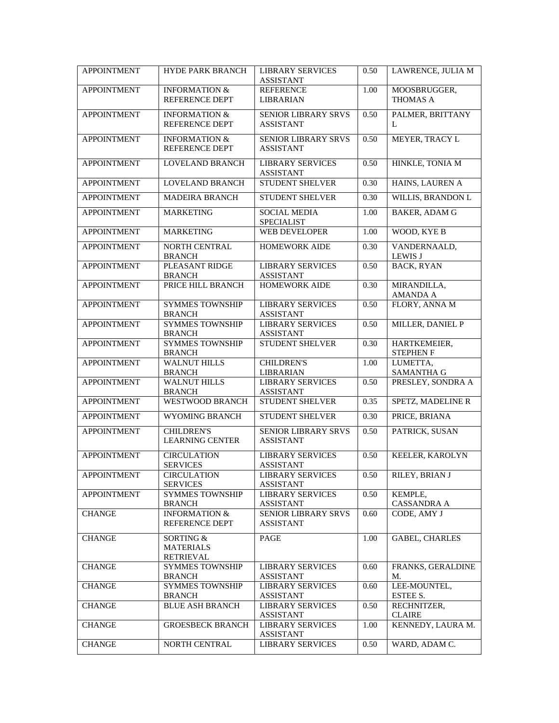| <b>APPOINTMENT</b> | HYDE PARK BRANCH                                  | <b>LIBRARY SERVICES</b><br><b>ASSISTANT</b>    | 0.50 | LAWRENCE, JULIA M                |
|--------------------|---------------------------------------------------|------------------------------------------------|------|----------------------------------|
| <b>APPOINTMENT</b> | <b>INFORMATION &amp;</b><br><b>REFERENCE DEPT</b> | <b>REFERENCE</b><br>LIBRARIAN                  | 1.00 | MOOSBRUGGER,<br>THOMAS A         |
| <b>APPOINTMENT</b> | <b>INFORMATION &amp;</b><br><b>REFERENCE DEPT</b> | SENIOR LIBRARY SRVS<br><b>ASSISTANT</b>        | 0.50 | PALMER, BRITTANY<br>L            |
| <b>APPOINTMENT</b> | <b>INFORMATION &amp;</b><br>REFERENCE DEPT        | <b>SENIOR LIBRARY SRVS</b><br><b>ASSISTANT</b> | 0.50 | MEYER, TRACY L                   |
| <b>APPOINTMENT</b> | <b>LOVELAND BRANCH</b>                            | <b>LIBRARY SERVICES</b><br><b>ASSISTANT</b>    | 0.50 | HINKLE, TONIA M                  |
| <b>APPOINTMENT</b> | <b>LOVELAND BRANCH</b>                            | <b>STUDENT SHELVER</b>                         | 0.30 | HAINS, LAUREN A                  |
| <b>APPOINTMENT</b> | <b>MADEIRA BRANCH</b>                             | <b>STUDENT SHELVER</b>                         | 0.30 | <b>WILLIS, BRANDON L</b>         |
| <b>APPOINTMENT</b> | <b>MARKETING</b>                                  | <b>SOCIAL MEDIA</b><br><b>SPECIALIST</b>       | 1.00 | <b>BAKER, ADAM G</b>             |
| <b>APPOINTMENT</b> | <b>MARKETING</b>                                  | <b>WEB DEVELOPER</b>                           | 1.00 | WOOD, KYE B                      |
| <b>APPOINTMENT</b> | <b>NORTH CENTRAL</b><br><b>BRANCH</b>             | <b>HOMEWORK AIDE</b>                           | 0.30 | VANDERNAALD,<br><b>LEWIS J</b>   |
| <b>APPOINTMENT</b> | PLEASANT RIDGE<br><b>BRANCH</b>                   | <b>LIBRARY SERVICES</b><br><b>ASSISTANT</b>    | 0.50 | <b>BACK, RYAN</b>                |
| <b>APPOINTMENT</b> | PRICE HILL BRANCH                                 | <b>HOMEWORK AIDE</b>                           | 0.30 | MIRANDILLA,<br><b>AMANDA A</b>   |
| <b>APPOINTMENT</b> | <b>SYMMES TOWNSHIP</b><br><b>BRANCH</b>           | <b>LIBRARY SERVICES</b><br><b>ASSISTANT</b>    | 0.50 | FLORY, ANNA M                    |
| <b>APPOINTMENT</b> | <b>SYMMES TOWNSHIP</b><br><b>BRANCH</b>           | <b>LIBRARY SERVICES</b><br><b>ASSISTANT</b>    | 0.50 | MILLER, DANIEL P                 |
| <b>APPOINTMENT</b> | <b>SYMMES TOWNSHIP</b><br><b>BRANCH</b>           | <b>STUDENT SHELVER</b>                         | 0.30 | HARTKEMEIER,<br><b>STEPHEN F</b> |
| <b>APPOINTMENT</b> | <b>WALNUT HILLS</b><br><b>BRANCH</b>              | <b>CHILDREN'S</b><br>LIBRARIAN                 | 1.00 | LUMETTA,<br><b>SAMANTHA G</b>    |
| <b>APPOINTMENT</b> | <b>WALNUT HILLS</b><br><b>BRANCH</b>              | <b>LIBRARY SERVICES</b><br><b>ASSISTANT</b>    | 0.50 | PRESLEY, SONDRA A                |
| <b>APPOINTMENT</b> | <b>WESTWOOD BRANCH</b>                            | <b>STUDENT SHELVER</b>                         | 0.35 | SPETZ, MADELINE R                |
| <b>APPOINTMENT</b> | WYOMING BRANCH                                    | <b>STUDENT SHELVER</b>                         | 0.30 | PRICE, BRIANA                    |
| <b>APPOINTMENT</b> | <b>CHILDREN'S</b><br><b>LEARNING CENTER</b>       | SENIOR LIBRARY SRVS<br><b>ASSISTANT</b>        | 0.50 | PATRICK, SUSAN                   |
| <b>APPOINTMENT</b> | <b>CIRCULATION</b><br><b>SERVICES</b>             | <b>LIBRARY SERVICES</b><br><b>ASSISTANT</b>    | 0.50 | KEELER, KAROLYN                  |
| <b>APPOINTMENT</b> | <b>CIRCULATION</b><br><b>SERVICES</b>             | <b>LIBRARY SERVICES</b><br><b>ASSISTANT</b>    | 0.50 | RILEY, BRIAN J                   |
| <b>APPOINTMENT</b> | <b>SYMMES TOWNSHIP</b><br><b>BRANCH</b>           | <b>LIBRARY SERVICES</b><br><b>ASSISTANT</b>    | 0.50 | KEMPLE,<br><b>CASSANDRA A</b>    |
| <b>CHANGE</b>      | <b>INFORMATION &amp;</b><br>REFERENCE DEPT        | <b>SENIOR LIBRARY SRVS</b><br><b>ASSISTANT</b> | 0.60 | CODE, AMY J                      |
| <b>CHANGE</b>      | SORTING &<br><b>MATERIALS</b><br><b>RETRIEVAL</b> | PAGE                                           | 1.00 | <b>GABEL, CHARLES</b>            |
| <b>CHANGE</b>      | <b>SYMMES TOWNSHIP</b><br><b>BRANCH</b>           | <b>LIBRARY SERVICES</b><br><b>ASSISTANT</b>    | 0.60 | FRANKS, GERALDINE<br>M.          |
| <b>CHANGE</b>      | <b>SYMMES TOWNSHIP</b><br><b>BRANCH</b>           | <b>LIBRARY SERVICES</b><br><b>ASSISTANT</b>    | 0.60 | LEE-MOUNTEL,<br>ESTEE S.         |
| <b>CHANGE</b>      | <b>BLUE ASH BRANCH</b>                            | <b>LIBRARY SERVICES</b><br><b>ASSISTANT</b>    | 0.50 | RECHNITZER,<br><b>CLAIRE</b>     |
| <b>CHANGE</b>      | <b>GROESBECK BRANCH</b>                           | <b>LIBRARY SERVICES</b><br><b>ASSISTANT</b>    | 1.00 | KENNEDY, LAURA M.                |
| <b>CHANGE</b>      | NORTH CENTRAL                                     | <b>LIBRARY SERVICES</b>                        | 0.50 | WARD, ADAM C.                    |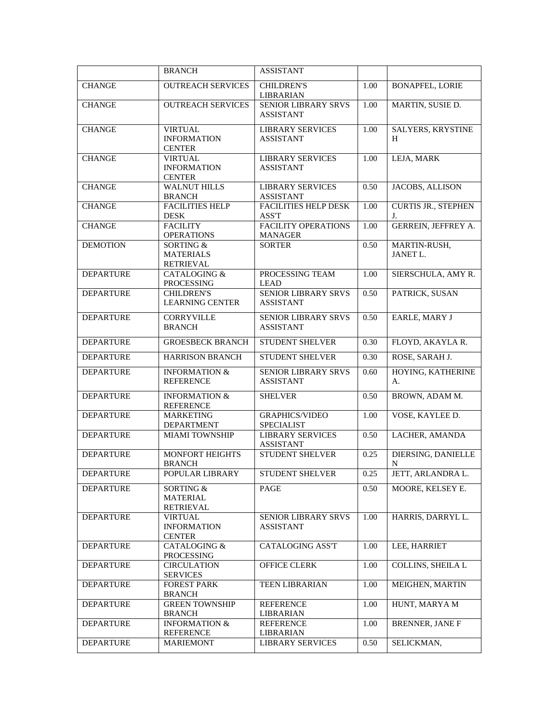|                  | <b>BRANCH</b>                                         | <b>ASSISTANT</b>                               |      |                                  |
|------------------|-------------------------------------------------------|------------------------------------------------|------|----------------------------------|
| <b>CHANGE</b>    | <b>OUTREACH SERVICES</b>                              | <b>CHILDREN'S</b><br><b>LIBRARIAN</b>          | 1.00 | <b>BONAPFEL, LORIE</b>           |
| <b>CHANGE</b>    | <b>OUTREACH SERVICES</b>                              | SENIOR LIBRARY SRVS<br><b>ASSISTANT</b>        | 1.00 | MARTIN, SUSIE D.                 |
| <b>CHANGE</b>    | <b>VIRTUAL</b><br><b>INFORMATION</b><br><b>CENTER</b> | <b>LIBRARY SERVICES</b><br><b>ASSISTANT</b>    | 1.00 | SALYERS, KRYSTINE<br>H           |
| <b>CHANGE</b>    | <b>VIRTUAL</b><br><b>INFORMATION</b><br><b>CENTER</b> | <b>LIBRARY SERVICES</b><br><b>ASSISTANT</b>    | 1.00 | LEJA, MARK                       |
| <b>CHANGE</b>    | <b>WALNUT HILLS</b><br><b>BRANCH</b>                  | <b>LIBRARY SERVICES</b><br><b>ASSISTANT</b>    | 0.50 | JACOBS, ALLISON                  |
| <b>CHANGE</b>    | <b>FACILITIES HELP</b><br><b>DESK</b>                 | <b>FACILITIES HELP DESK</b><br>ASS'T           | 1.00 | <b>CURTIS JR., STEPHEN</b><br>J. |
| <b>CHANGE</b>    | <b>FACILITY</b><br><b>OPERATIONS</b>                  | FACILITY OPERATIONS<br>MANAGER                 | 1.00 | GERREIN, JEFFREY A.              |
| <b>DEMOTION</b>  | SORTING &<br><b>MATERIALS</b><br><b>RETRIEVAL</b>     | <b>SORTER</b>                                  | 0.50 | MARTIN-RUSH,<br><b>JANET L.</b>  |
| <b>DEPARTURE</b> | <b>CATALOGING &amp;</b><br>PROCESSING                 | PROCESSING TEAM<br><b>LEAD</b>                 | 1.00 | SIERSCHULA, AMY R.               |
| <b>DEPARTURE</b> | <b>CHILDREN'S</b><br><b>LEARNING CENTER</b>           | SENIOR LIBRARY SRVS<br><b>ASSISTANT</b>        | 0.50 | PATRICK, SUSAN                   |
| <b>DEPARTURE</b> | <b>CORRYVILLE</b><br><b>BRANCH</b>                    | <b>SENIOR LIBRARY SRVS</b><br><b>ASSISTANT</b> | 0.50 | EARLE, MARY J                    |
| <b>DEPARTURE</b> | <b>GROESBECK BRANCH</b>                               | STUDENT SHELVER                                | 0.30 | FLOYD, AKAYLA R.                 |
| <b>DEPARTURE</b> | <b>HARRISON BRANCH</b>                                | STUDENT SHELVER                                | 0.30 | ROSE, SARAH J.                   |
| <b>DEPARTURE</b> | <b>INFORMATION &amp;</b><br><b>REFERENCE</b>          | <b>SENIOR LIBRARY SRVS</b><br><b>ASSISTANT</b> | 0.60 | HOYING, KATHERINE<br>A.          |
| <b>DEPARTURE</b> | <b>INFORMATION &amp;</b><br><b>REFERENCE</b>          | <b>SHELVER</b>                                 | 0.50 | BROWN, ADAM M.                   |
| <b>DEPARTURE</b> | <b>MARKETING</b><br>DEPARTMENT                        | <b>GRAPHICS/VIDEO</b><br><b>SPECIALIST</b>     | 1.00 | VOSE, KAYLEE D.                  |
| <b>DEPARTURE</b> | <b>MIAMI TOWNSHIP</b>                                 | <b>LIBRARY SERVICES</b><br><b>ASSISTANT</b>    | 0.50 | LACHER, AMANDA                   |
| <b>DEPARTURE</b> | MONFORT HEIGHTS<br><b>BRANCH</b>                      | <b>STUDENT SHELVER</b>                         | 0.25 | DIERSING, DANIELLE<br>N          |
| <b>DEPARTURE</b> | POPULAR LIBRARY                                       | STUDENT SHELVER                                | 0.25 | JETT, ARLANDRA L                 |
| <b>DEPARTURE</b> | SORTING &<br><b>MATERIAL</b><br>RETRIEVAL             | PAGE                                           | 0.50 | MOORE, KELSEY E.                 |
| <b>DEPARTURE</b> | <b>VIRTUAL</b><br><b>INFORMATION</b><br><b>CENTER</b> | SENIOR LIBRARY SRVS<br><b>ASSISTANT</b>        | 1.00 | HARRIS, DARRYL L.                |
| <b>DEPARTURE</b> | CATALOGING &<br>PROCESSING                            | CATALOGING ASS'T                               | 1.00 | LEE, HARRIET                     |
| <b>DEPARTURE</b> | <b>CIRCULATION</b><br><b>SERVICES</b>                 | OFFICE CLERK                                   | 1.00 | COLLINS, SHEILA L                |
| <b>DEPARTURE</b> | <b>FOREST PARK</b><br><b>BRANCH</b>                   | TEEN LIBRARIAN                                 | 1.00 | MEIGHEN, MARTIN                  |
| <b>DEPARTURE</b> | <b>GREEN TOWNSHIP</b><br><b>BRANCH</b>                | <b>REFERENCE</b><br>LIBRARIAN                  | 1.00 | HUNT, MARYA M                    |
| <b>DEPARTURE</b> | <b>INFORMATION &amp;</b><br>REFERENCE                 | <b>REFERENCE</b><br>LIBRARIAN                  | 1.00 | <b>BRENNER, JANE F</b>           |
| <b>DEPARTURE</b> | <b>MARIEMONT</b>                                      | <b>LIBRARY SERVICES</b>                        | 0.50 | SELICKMAN,                       |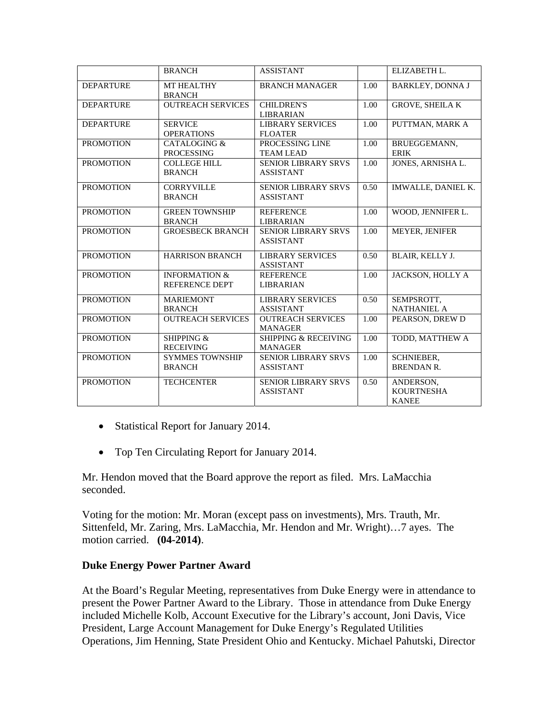|                  | <b>BRANCH</b>                                     | <b>ASSISTANT</b>                                  |      | ELIZABETH L.                                   |
|------------------|---------------------------------------------------|---------------------------------------------------|------|------------------------------------------------|
| <b>DEPARTURE</b> | MT HEALTHY<br><b>BRANCH</b>                       | <b>BRANCH MANAGER</b>                             | 1.00 | <b>BARKLEY, DONNA J</b>                        |
| <b>DEPARTURE</b> | <b>OUTREACH SERVICES</b>                          | <b>CHILDREN'S</b><br><b>LIBRARIAN</b>             | 1.00 | <b>GROVE, SHEILA K</b>                         |
| <b>DEPARTURE</b> | <b>SERVICE</b><br><b>OPERATIONS</b>               | <b>LIBRARY SERVICES</b><br><b>FLOATER</b>         | 1.00 | PUTTMAN, MARK A                                |
| <b>PROMOTION</b> | CATALOGING &<br><b>PROCESSING</b>                 | PROCESSING LINE<br><b>TEAM LEAD</b>               | 1.00 | BRUEGGEMANN,<br><b>ERIK</b>                    |
| <b>PROMOTION</b> | <b>COLLEGE HILL</b><br><b>BRANCH</b>              | <b>SENIOR LIBRARY SRVS</b><br><b>ASSISTANT</b>    | 1.00 | JONES, ARNISHA L.                              |
| <b>PROMOTION</b> | <b>CORRYVILLE</b><br><b>BRANCH</b>                | <b>SENIOR LIBRARY SRVS</b><br><b>ASSISTANT</b>    | 0.50 | IMWALLE, DANIEL K.                             |
| <b>PROMOTION</b> | <b>GREEN TOWNSHIP</b><br><b>BRANCH</b>            | <b>REFERENCE</b><br><b>LIBRARIAN</b>              | 1.00 | WOOD, JENNIFER L.                              |
| <b>PROMOTION</b> | <b>GROESBECK BRANCH</b>                           | <b>SENIOR LIBRARY SRVS</b><br><b>ASSISTANT</b>    | 1.00 | MEYER, JENIFER                                 |
| <b>PROMOTION</b> | <b>HARRISON BRANCH</b>                            | <b>LIBRARY SERVICES</b><br><b>ASSISTANT</b>       | 0.50 | <b>BLAIR, KELLY J.</b>                         |
| <b>PROMOTION</b> | <b>INFORMATION &amp;</b><br><b>REFERENCE DEPT</b> | <b>REFERENCE</b><br><b>LIBRARIAN</b>              | 1.00 | JACKSON, HOLLY A                               |
| <b>PROMOTION</b> | <b>MARIEMONT</b><br><b>BRANCH</b>                 | <b>LIBRARY SERVICES</b><br><b>ASSISTANT</b>       | 0.50 | SEMPSROTT,<br><b>NATHANIEL A</b>               |
| <b>PROMOTION</b> | <b>OUTREACH SERVICES</b>                          | <b>OUTREACH SERVICES</b><br><b>MANAGER</b>        | 1.00 | PEARSON, DREW D                                |
| <b>PROMOTION</b> | SHIPPING &<br><b>RECEIVING</b>                    | <b>SHIPPING &amp; RECEIVING</b><br><b>MANAGER</b> | 1.00 | TODD, MATTHEW A                                |
| <b>PROMOTION</b> | <b>SYMMES TOWNSHIP</b><br><b>BRANCH</b>           | <b>SENIOR LIBRARY SRVS</b><br><b>ASSISTANT</b>    | 1.00 | SCHNIEBER,<br><b>BRENDAN R.</b>                |
| <b>PROMOTION</b> | <b>TECHCENTER</b>                                 | <b>SENIOR LIBRARY SRVS</b><br><b>ASSISTANT</b>    | 0.50 | ANDERSON,<br><b>KOURTNESHA</b><br><b>KANEE</b> |

- Statistical Report for January 2014.
- Top Ten Circulating Report for January 2014.

Mr. Hendon moved that the Board approve the report as filed. Mrs. LaMacchia seconded.

Voting for the motion: Mr. Moran (except pass on investments), Mrs. Trauth, Mr. Sittenfeld, Mr. Zaring, Mrs. LaMacchia, Mr. Hendon and Mr. Wright)…7 ayes. The motion carried. **(04-2014)**.

### **Duke Energy Power Partner Award**

At the Board's Regular Meeting, representatives from Duke Energy were in attendance to present the Power Partner Award to the Library. Those in attendance from Duke Energy included Michelle Kolb, Account Executive for the Library's account, Joni Davis, Vice President, Large Account Management for Duke Energy's Regulated Utilities Operations, Jim Henning, State President Ohio and Kentucky. Michael Pahutski, Director